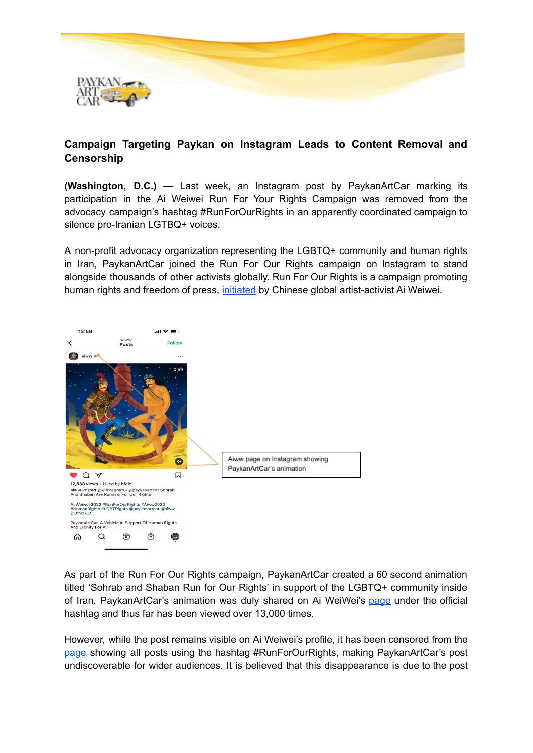

## **Campaign Targeting Paykan on Instagram Leads to Content Removal and Censorship**

**(Washington, D.C.) —** Last week, an Instagram post by PaykanArtCar marking its participation in the Ai Weiwei Run For Your Rights Campaign was removed from the advocacy campaign's hashtag #RunForOurRights in an apparently coordinated campaign to silence pro-Iranian LGTBQ+ voices.

A non-profit advocacy organization representing the LGBTQ+ community and human rights in Iran, PaykanArtCar joined the Run For Our Rights campaign on Instagram to stand alongside thousands of other activists globally. Run For Our Rights is a campaign promoting human rights and freedom of press, [initiated](https://www.designboom.com/art/ai-weiwei-run-treadmill-julian-assange-press-freedom-12-15-2021/) by Chinese global artist-activist Ai Weiwei.



As part of the Run For Our Rights campaign, PaykanArtCar created a 60 second animation titled 'Sohrab and Shaban Run for Our Rights' in support of the LGBTQ+ community inside of Iran. PaykanArtCar's animation was duly shared on Ai WeiWei's [page](https://www.instagram.com/p/CY-JCr2oEXb/) under the official hashtag and thus far has been viewed over 13,000 times.

However, while the post remains visible on Ai Weiwei's profile, it has been censored from the [page](https://www.instagram.com/p/CY9iUj7otW1/) showing all posts using the hashtag #RunForOurRights, making PaykanArtCar's post undiscoverable for wider audiences. It is believed that this disappearance is due to the post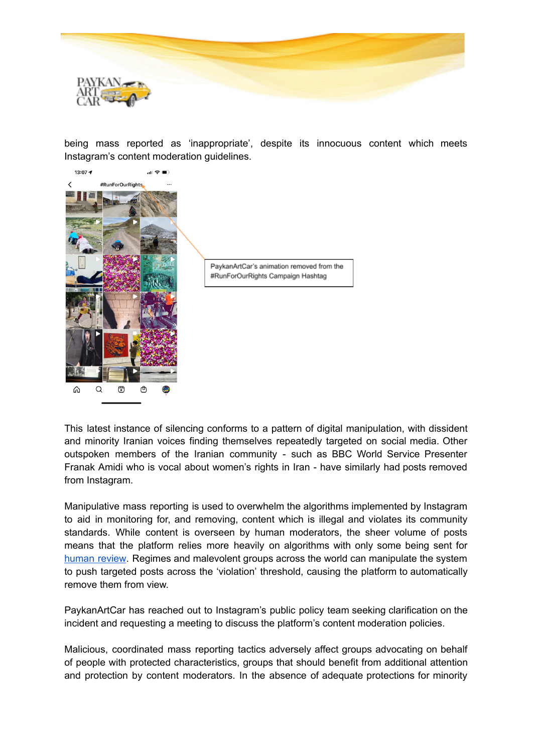

being mass reported as 'inappropriate', despite its innocuous content which meets Instagram's content moderation guidelines.



This latest instance of silencing conforms to a pattern of digital manipulation, with dissident and minority Iranian voices finding themselves repeatedly targeted on social media. Other outspoken members of the Iranian community - such as BBC World Service Presenter Franak Amidi who is vocal about women's rights in Iran - have similarly had posts removed from Instagram.

Manipulative mass reporting is used to overwhelm the algorithms implemented by Instagram to aid in monitoring for, and removing, content which is illegal and violates its community standards. While content is overseen by human moderators, the sheer volume of posts means that the platform relies more heavily on algorithms with only some being sent for [human](https://www.facebook.com/help/instagram/423837189385631) review. Regimes and malevolent groups across the world can manipulate the system to push targeted posts across the 'violation' threshold, causing the platform to automatically remove them from view.

PaykanArtCar has reached out to Instagram's public policy team seeking clarification on the incident and requesting a meeting to discuss the platform's content moderation policies.

Malicious, coordinated mass reporting tactics adversely affect groups advocating on behalf of people with protected characteristics, groups that should benefit from additional attention and protection by content moderators. In the absence of adequate protections for minority